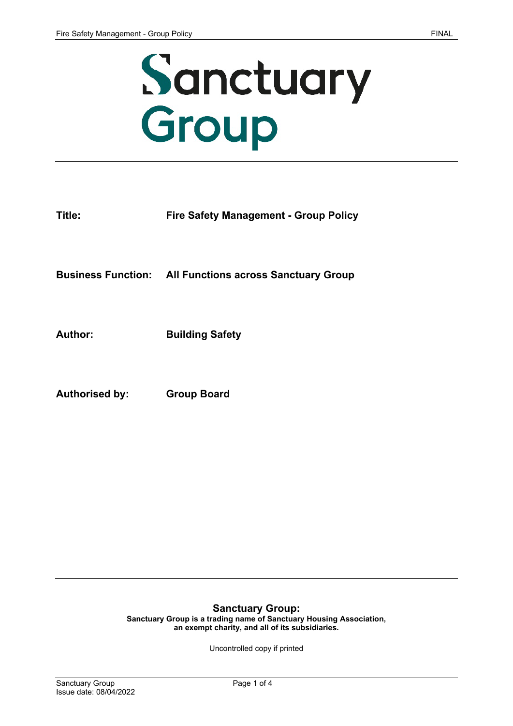

| Title:         | <b>Fire Safety Management - Group Policy</b>                   |
|----------------|----------------------------------------------------------------|
|                | <b>Business Function: All Functions across Sanctuary Group</b> |
| Author:        | <b>Building Safety</b>                                         |
| Authorised by: | <b>Group Board</b>                                             |

#### **Sanctuary Group:**

**Sanctuary Group is a trading name of Sanctuary Housing Association, an exempt charity, and all of its subsidiaries.** 

Uncontrolled copy if printed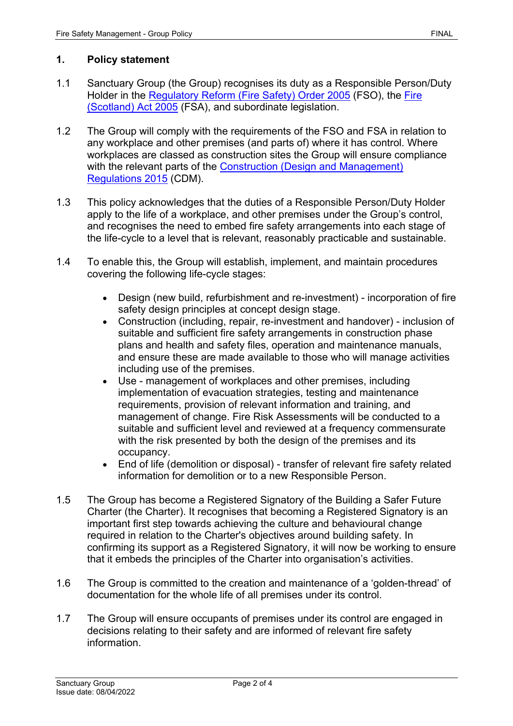### **1. Policy statement**

- 1.1 Sanctuary Group (the Group) recognises its duty as a Responsible Person/Duty Holder in the [Regulatory Reform \(Fire Safety\) Order 2005](http://www.legislation.gov.uk/uksi/2005/1541/contents/made) (FSO), the [Fire](http://www.legislation.gov.uk/asp/2005/5/contents)  [\(Scotland\) Act 2005](http://www.legislation.gov.uk/asp/2005/5/contents) (FSA), and subordinate legislation.
- 1.2 The Group will comply with the requirements of the FSO and FSA in relation to any workplace and other premises (and parts of) where it has control. Where workplaces are classed as construction sites the Group will ensure compliance with the relevant parts of the Construction (Design and Management) [Regulations 2015](http://www.legislation.gov.uk/uksi/2015/51/contents/made) (CDM).
- 1.3 This policy acknowledges that the duties of a Responsible Person/Duty Holder apply to the life of a workplace, and other premises under the Group's control, and recognises the need to embed fire safety arrangements into each stage of the life-cycle to a level that is relevant, reasonably practicable and sustainable.
- 1.4 To enable this, the Group will establish, implement, and maintain procedures covering the following life-cycle stages:
	- Design (new build, refurbishment and re-investment) incorporation of fire safety design principles at concept design stage.
	- Construction (including, repair, re-investment and handover) inclusion of suitable and sufficient fire safety arrangements in construction phase plans and health and safety files, operation and maintenance manuals, and ensure these are made available to those who will manage activities including use of the premises.
	- Use management of workplaces and other premises, including implementation of evacuation strategies, testing and maintenance requirements, provision of relevant information and training, and management of change. Fire Risk Assessments will be conducted to a suitable and sufficient level and reviewed at a frequency commensurate with the risk presented by both the design of the premises and its occupancy.
	- End of life (demolition or disposal) transfer of relevant fire safety related information for demolition or to a new Responsible Person.
- 1.5 The Group has become a Registered Signatory of the Building a Safer Future Charter (the Charter). It recognises that becoming a Registered Signatory is an important first step towards achieving the culture and behavioural change required in relation to the Charter's objectives around building safety. In confirming its support as a Registered Signatory, it will now be working to ensure that it embeds the principles of the Charter into organisation's activities.
- 1.6 The Group is committed to the creation and maintenance of a 'golden-thread' of documentation for the whole life of all premises under its control.
- 1.7 The Group will ensure occupants of premises under its control are engaged in decisions relating to their safety and are informed of relevant fire safety information.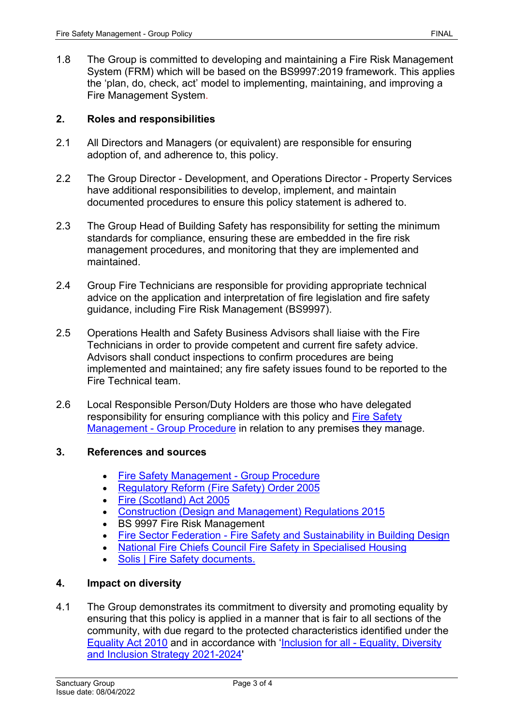1.8 The Group is committed to developing and maintaining a Fire Risk Management System (FRM) which will be based on the BS9997:2019 framework. This applies the 'plan, do, check, act' model to implementing, maintaining, and improving a Fire Management System.

### **2. Roles and responsibilities**

- 2.1 All Directors and Managers (or equivalent) are responsible for ensuring adoption of, and adherence to, this policy.
- 2.2 The Group Director Development, and Operations Director Property Services have additional responsibilities to develop, implement, and maintain documented procedures to ensure this policy statement is adhered to.
- 2.3 The Group Head of Building Safety has responsibility for setting the minimum standards for compliance, ensuring these are embedded in the fire risk management procedures, and monitoring that they are implemented and maintained.
- 2.4 Group Fire Technicians are responsible for providing appropriate technical advice on the application and interpretation of fire legislation and fire safety guidance, including Fire Risk Management (BS9997).
- 2.5 Operations Health and Safety Business Advisors shall liaise with the Fire Technicians in order to provide competent and current fire safety advice. Advisors shall conduct inspections to confirm procedures are being implemented and maintained; any fire safety issues found to be reported to the Fire Technical team.
- 2.6 Local Responsible Person/Duty Holders are those who have delegated responsibility for ensuring compliance with this policy and [Fire Safety](http://solis/PolicyManagement/policy/Policies/Forms/Policy%20Document%20Set/docsethomepage.aspx?ID=3995&FolderCTID=0x0120D52000DE99EA054D4DF944BE591D81E49729D0008C670BDB86BED740B0B89E295CD8357C&List=a03723e1-d48b-4958-9669-9b86a90ef8b0&RootFolder=%2FPolicyManagement%2Fpolicy%2FPolicies%2FFire%20Safety%20Management%20%2D%20Group)  [Management - Group Procedure](http://solis/PolicyManagement/policy/Policies/Forms/Policy%20Document%20Set/docsethomepage.aspx?ID=3995&FolderCTID=0x0120D52000DE99EA054D4DF944BE591D81E49729D0008C670BDB86BED740B0B89E295CD8357C&List=a03723e1-d48b-4958-9669-9b86a90ef8b0&RootFolder=%2FPolicyManagement%2Fpolicy%2FPolicies%2FFire%20Safety%20Management%20%2D%20Group) in relation to any premises they manage.

### **3. References and sources**

- [Fire Safety Management Group](http://solis/PolicyManagement/policy/Policies/Forms/Policy%20Document%20Set/docsethomepage.aspx?ID=3995&FolderCTID=0x0120D52000DE99EA054D4DF944BE591D81E49729D0008C670BDB86BED740B0B89E295CD8357C&List=a03723e1-d48b-4958-9669-9b86a90ef8b0&RootFolder=%2FPolicyManagement%2Fpolicy%2FPolicies%2FFire%20Safety%20Management%20%2D%20Group) Procedure
- [Regulatory Reform \(Fire Safety\) Order 2005](http://www.legislation.gov.uk/uksi/2005/1541/contents/made)
- [Fire \(Scotland\) Act 2005](http://www.legislation.gov.uk/asp/2005/5/contents)
- [Construction \(Design and Management\) Regulations 2015](http://www.legislation.gov.uk/uksi/2015/51/contents/made)
- BS 9997 Fire Risk Management
- [Fire Sector Federation Fire Safety and Sustainability in Building Design](https://firesectorfederation.co.uk/update/resources/tg-fire-safety-sustainability-final.pdf)
- [National Fire Chiefs Council Fire Safety in Specialised Housing](https://www.nationalfirechiefs.org.uk/write/MediaUploads/NFCC%20Guidance%20publications/NFCC_Specialised_Housing_Guidance_-_Copy.pdf)
- [Solis | Fire Safety documents.](https://solis/SG/gov-and-legal/HS/Pages/fire.aspx)

### **4. Impact on diversity**

4.1 The Group demonstrates its commitment to diversity and promoting equality by ensuring that this policy is applied in a manner that is fair to all sections of the community, with due regard to the protected characteristics identified under the [Equality Act 2010](http://www.legislation.gov.uk/ukpga/2010/15/contents) and in accordance with ['Inclusion for all - Equality, Diversity](https://solis/Diversity/Documents/Inclusion%20for%20all%20-%20Equality%2c%20Diversity%20and%20Inclusion%20Strategy%202021-2024.pdf)  [and Inclusion Strategy 2021-2024'](https://solis/Diversity/Documents/Inclusion%20for%20all%20-%20Equality%2c%20Diversity%20and%20Inclusion%20Strategy%202021-2024.pdf)